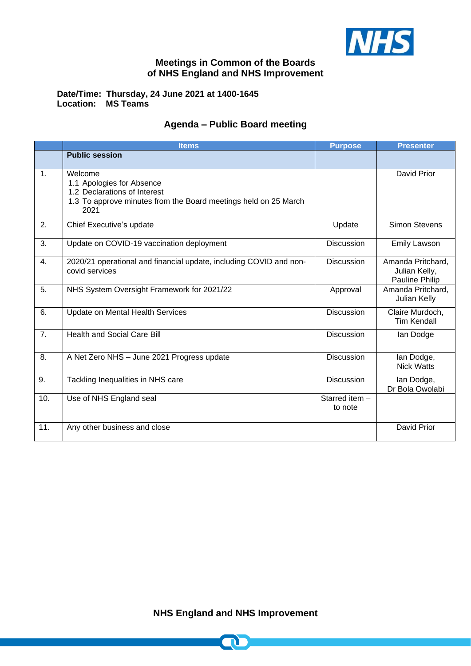

## **Meetings in Common of the Boards of NHS England and NHS Improvement**

**Date/Time: Thursday, 24 June 2021 at 1400-1645 Location: MS Teams** 

## **Agenda – Public Board meeting**

|     | <b>Items</b>                                                                                                                                    | <b>Purpose</b>            | <b>Presenter</b>                                     |
|-----|-------------------------------------------------------------------------------------------------------------------------------------------------|---------------------------|------------------------------------------------------|
|     | <b>Public session</b>                                                                                                                           |                           |                                                      |
| 1.  | Welcome<br>1.1 Apologies for Absence<br>1.2 Declarations of Interest<br>1.3 To approve minutes from the Board meetings held on 25 March<br>2021 |                           | David Prior                                          |
| 2.  | Chief Executive's update                                                                                                                        | Update                    | <b>Simon Stevens</b>                                 |
| 3.  | Update on COVID-19 vaccination deployment                                                                                                       | <b>Discussion</b>         | <b>Emily Lawson</b>                                  |
| 4.  | 2020/21 operational and financial update, including COVID and non-<br>covid services                                                            | <b>Discussion</b>         | Amanda Pritchard,<br>Julian Kelly,<br>Pauline Philip |
| 5.  | NHS System Oversight Framework for 2021/22                                                                                                      | Approval                  | Amanda Pritchard,<br>Julian Kelly                    |
| 6.  | <b>Update on Mental Health Services</b>                                                                                                         | <b>Discussion</b>         | Claire Murdoch,<br><b>Tim Kendall</b>                |
| 7.  | <b>Health and Social Care Bill</b>                                                                                                              | <b>Discussion</b>         | lan Dodge                                            |
| 8.  | A Net Zero NHS - June 2021 Progress update                                                                                                      | <b>Discussion</b>         | lan Dodge,<br><b>Nick Watts</b>                      |
| 9.  | Tackling Inequalities in NHS care                                                                                                               | <b>Discussion</b>         | lan Dodge,<br>Dr Bola Owolabi                        |
| 10. | Use of NHS England seal                                                                                                                         | Starred item -<br>to note |                                                      |
| 11. | Any other business and close                                                                                                                    |                           | David Prior                                          |

**NHS England and NHS Improvement**